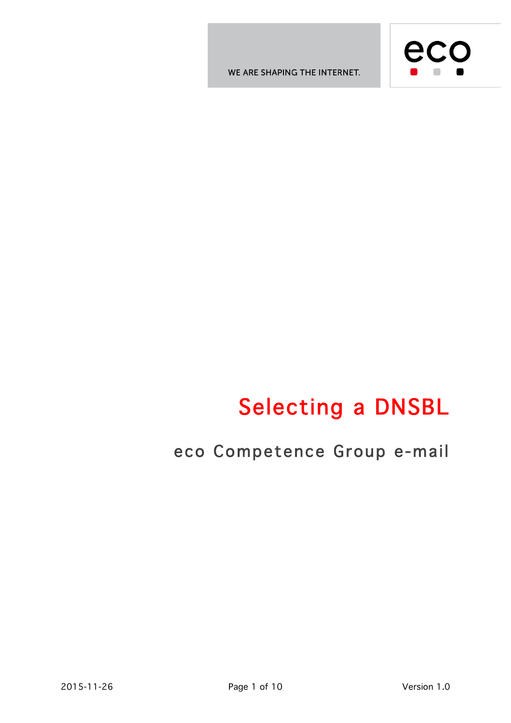WE ARE SHAPING THE INTERNET.



# Selecting a DNSBL

# eco Competence Group e-mail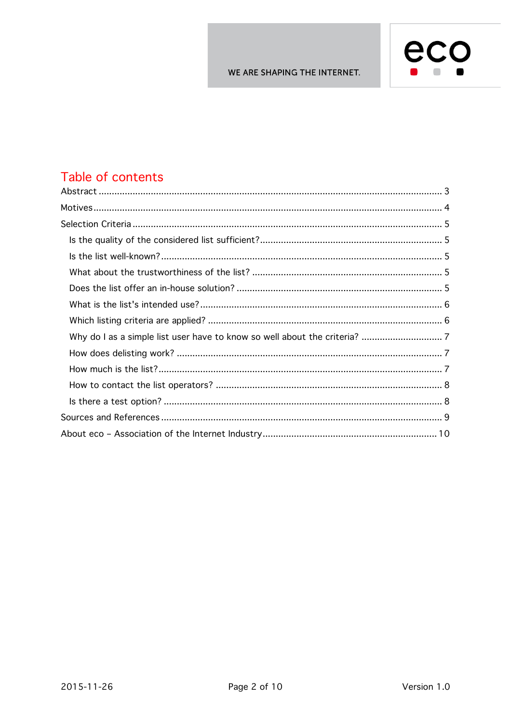

### Table of contents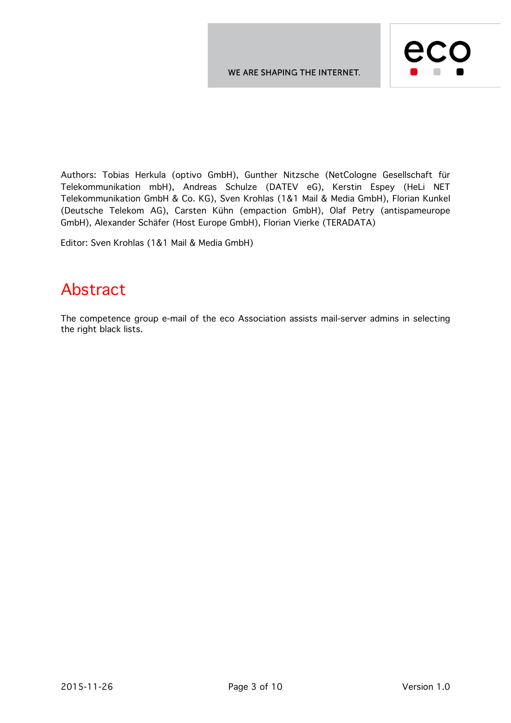

Authors: Tobias Herkula (optivo GmbH), Gunther Nitzsche (NetCologne Gesellschaft für Telekommunikation mbH), Andreas Schulze (DATEV eG), Kerstin Espey (HeLi NET Telekommunikation GmbH & Co. KG), Sven Krohlas (1&1 Mail & Media GmbH), Florian Kunkel (Deutsche Telekom AG), Carsten Kühn (empaction GmbH), Olaf Petry (antispameurope GmbH), Alexander Schäfer (Host Europe GmbH), Florian Vierke (TERADATA)

Editor: Sven Krohlas (1&1 Mail & Media GmbH)

### Abstract

The competence group e-mail of the eco Association assists mail-server admins in selecting the right black lists.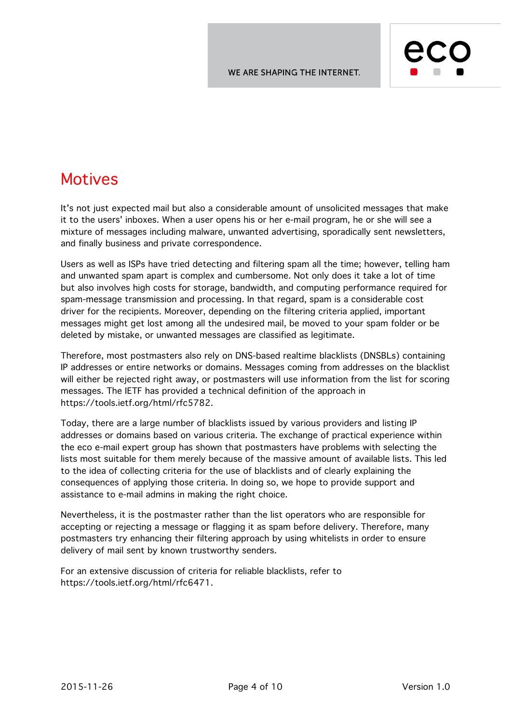

### Motives

It's not just expected mail but also a considerable amount of unsolicited messages that make it to the users' inboxes. When a user opens his or her e-mail program, he or she will see a mixture of messages including malware, unwanted advertising, sporadically sent newsletters, and finally business and private correspondence.

Users as well as ISPs have tried detecting and filtering spam all the time; however, telling ham and unwanted spam apart is complex and cumbersome. Not only does it take a lot of time but also involves high costs for storage, bandwidth, and computing performance required for spam-message transmission and processing. In that regard, spam is a considerable cost driver for the recipients. Moreover, depending on the filtering criteria applied, important messages might get lost among all the undesired mail, be moved to your spam folder or be deleted by mistake, or unwanted messages are classified as legitimate.

Therefore, most postmasters also rely on DNS-based realtime blacklists (DNSBLs) containing IP addresses or entire networks or domains. Messages coming from addresses on the blacklist will either be rejected right away, or postmasters will use information from the list for scoring messages. The IETF has provided a technical definition of the approach in https://tools.ietf.org/html/rfc5782.

Today, there are a large number of blacklists issued by various providers and listing IP addresses or domains based on various criteria. The exchange of practical experience within the eco e-mail expert group has shown that postmasters have problems with selecting the lists most suitable for them merely because of the massive amount of available lists. This led to the idea of collecting criteria for the use of blacklists and of clearly explaining the consequences of applying those criteria. In doing so, we hope to provide support and assistance to e-mail admins in making the right choice.

Nevertheless, it is the postmaster rather than the list operators who are responsible for accepting or rejecting a message or flagging it as spam before delivery. Therefore, many postmasters try enhancing their filtering approach by using whitelists in order to ensure delivery of mail sent by known trustworthy senders.

For an extensive discussion of criteria for reliable blacklists, refer to https://tools.ietf.org/html/rfc6471.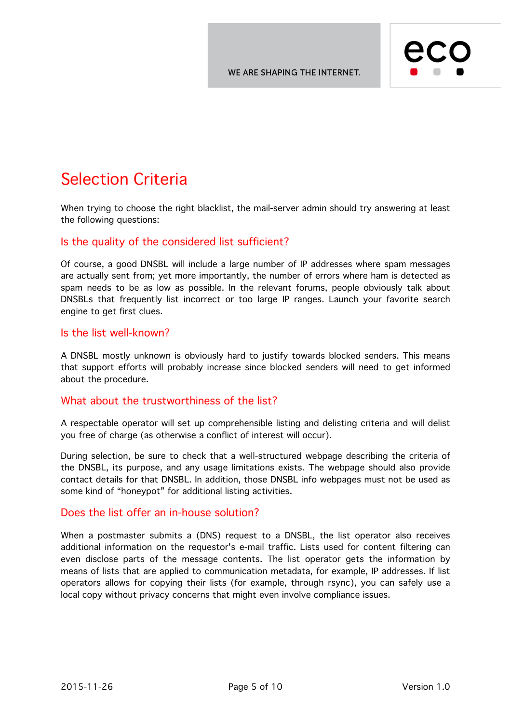

# Selection Criteria

When trying to choose the right blacklist, the mail-server admin should try answering at least the following questions:

#### Is the quality of the considered list sufficient?

Of course, a good DNSBL will include a large number of IP addresses where spam messages are actually sent from; yet more importantly, the number of errors where ham is detected as spam needs to be as low as possible. In the relevant forums, people obviously talk about DNSBLs that frequently list incorrect or too large IP ranges. Launch your favorite search engine to get first clues.

#### Is the list well-known?

A DNSBL mostly unknown is obviously hard to justify towards blocked senders. This means that support efforts will probably increase since blocked senders will need to get informed about the procedure.

#### What about the trustworthiness of the list?

A respectable operator will set up comprehensible listing and delisting criteria and will delist you free of charge (as otherwise a conflict of interest will occur).

During selection, be sure to check that a well-structured webpage describing the criteria of the DNSBL, its purpose, and any usage limitations exists. The webpage should also provide contact details for that DNSBL. In addition, those DNSBL info webpages must not be used as some kind of "honeypot" for additional listing activities.

#### Does the list offer an in-house solution?

When a postmaster submits a (DNS) request to a DNSBL, the list operator also receives additional information on the requestor's e-mail traffic. Lists used for content filtering can even disclose parts of the message contents. The list operator gets the information by means of lists that are applied to communication metadata, for example, IP addresses. If list operators allows for copying their lists (for example, through rsync), you can safely use a local copy without privacy concerns that might even involve compliance issues.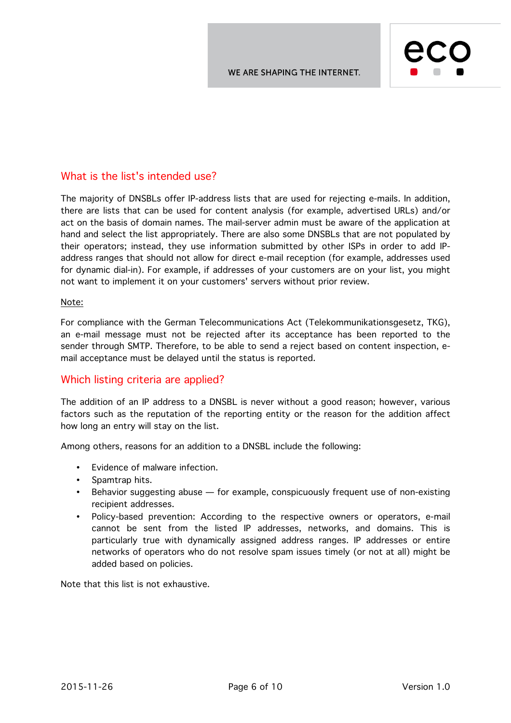

#### What is the list's intended use?

The majority of DNSBLs offer IP-address lists that are used for rejecting e-mails. In addition, there are lists that can be used for content analysis (for example, advertised URLs) and/or act on the basis of domain names. The mail-server admin must be aware of the application at hand and select the list appropriately. There are also some DNSBLs that are not populated by their operators; instead, they use information submitted by other ISPs in order to add IPaddress ranges that should not allow for direct e-mail reception (for example, addresses used for dynamic dial-in). For example, if addresses of your customers are on your list, you might not want to implement it on your customers' servers without prior review.

#### Note:

For compliance with the German Telecommunications Act (Telekommunikationsgesetz, TKG), an e-mail message must not be rejected after its acceptance has been reported to the sender through SMTP. Therefore, to be able to send a reject based on content inspection, email acceptance must be delayed until the status is reported.

#### Which listing criteria are applied?

The addition of an IP address to a DNSBL is never without a good reason; however, various factors such as the reputation of the reporting entity or the reason for the addition affect how long an entry will stay on the list.

Among others, reasons for an addition to a DNSBL include the following:

- Evidence of malware infection.
- Spamtrap hits.
- Behavior suggesting abuse for example, conspicuously frequent use of non-existing recipient addresses.
- Policy-based prevention: According to the respective owners or operators, e-mail cannot be sent from the listed IP addresses, networks, and domains. This is particularly true with dynamically assigned address ranges. IP addresses or entire networks of operators who do not resolve spam issues timely (or not at all) might be added based on policies.

Note that this list is not exhaustive.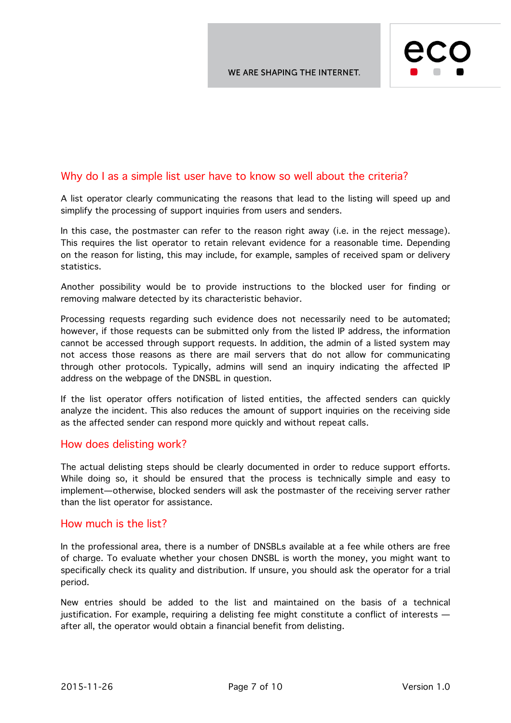

#### Why do I as a simple list user have to know so well about the criteria?

A list operator clearly communicating the reasons that lead to the listing will speed up and simplify the processing of support inquiries from users and senders.

In this case, the postmaster can refer to the reason right away (i.e. in the reject message). This requires the list operator to retain relevant evidence for a reasonable time. Depending on the reason for listing, this may include, for example, samples of received spam or delivery statistics.

Another possibility would be to provide instructions to the blocked user for finding or removing malware detected by its characteristic behavior.

Processing requests regarding such evidence does not necessarily need to be automated; however, if those requests can be submitted only from the listed IP address, the information cannot be accessed through support requests. In addition, the admin of a listed system may not access those reasons as there are mail servers that do not allow for communicating through other protocols. Typically, admins will send an inquiry indicating the affected IP address on the webpage of the DNSBL in question.

If the list operator offers notification of listed entities, the affected senders can quickly analyze the incident. This also reduces the amount of support inquiries on the receiving side as the affected sender can respond more quickly and without repeat calls.

#### How does delisting work?

The actual delisting steps should be clearly documented in order to reduce support efforts. While doing so, it should be ensured that the process is technically simple and easy to implement—otherwise, blocked senders will ask the postmaster of the receiving server rather than the list operator for assistance.

#### How much is the list?

In the professional area, there is a number of DNSBLs available at a fee while others are free of charge. To evaluate whether your chosen DNSBL is worth the money, you might want to specifically check its quality and distribution. If unsure, you should ask the operator for a trial period.

New entries should be added to the list and maintained on the basis of a technical justification. For example, requiring a delisting fee might constitute a conflict of interests after all, the operator would obtain a financial benefit from delisting.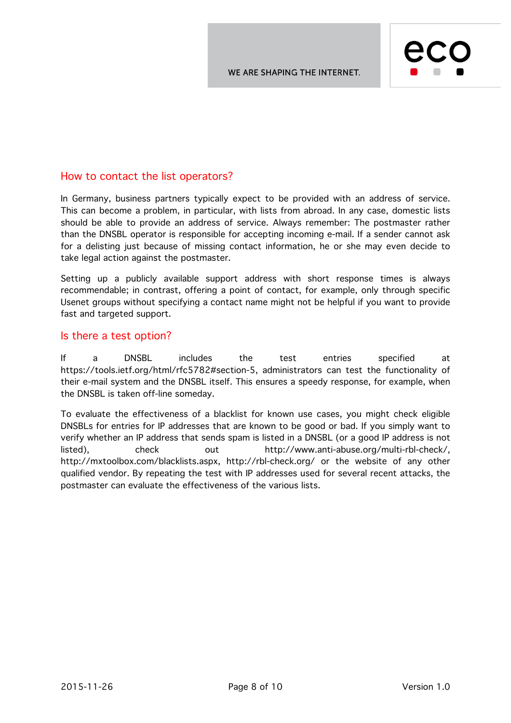

#### How to contact the list operators?

In Germany, business partners typically expect to be provided with an address of service. This can become a problem, in particular, with lists from abroad. In any case, domestic lists should be able to provide an address of service. Always remember: The postmaster rather than the DNSBL operator is responsible for accepting incoming e-mail. If a sender cannot ask for a delisting just because of missing contact information, he or she may even decide to take legal action against the postmaster.

Setting up a publicly available support address with short response times is always recommendable; in contrast, offering a point of contact, for example, only through specific Usenet groups without specifying a contact name might not be helpful if you want to provide fast and targeted support.

#### Is there a test option?

If a DNSBL includes the test entries specified at https://tools.ietf.org/html/rfc5782#section-5, administrators can test the functionality of their e-mail system and the DNSBL itself. This ensures a speedy response, for example, when the DNSBL is taken off-line someday.

To evaluate the effectiveness of a blacklist for known use cases, you might check eligible DNSBLs for entries for IP addresses that are known to be good or bad. If you simply want to verify whether an IP address that sends spam is listed in a DNSBL (or a good IP address is not listed), check out http://www.anti-abuse.org/multi-rbl-check/, http://mxtoolbox.com/blacklists.aspx, http://rbl-check.org/ or the website of any other qualified vendor. By repeating the test with IP addresses used for several recent attacks, the postmaster can evaluate the effectiveness of the various lists.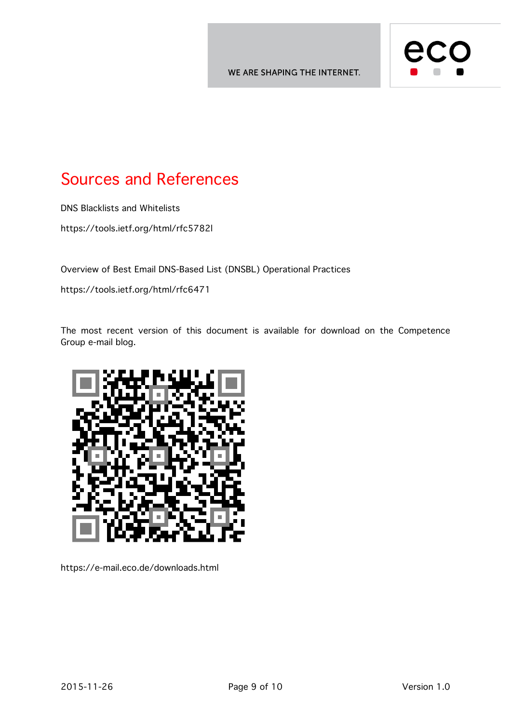

# Sources and References

DNS Blacklists and Whitelists

https://tools.ietf.org/html/rfc5782l

Overview of Best Email DNS-Based List (DNSBL) Operational Practices

https://tools.ietf.org/html/rfc6471

The most recent version of this document is available for download on the Competence Group e-mail blog.



https://e-mail.eco.de/downloads.html